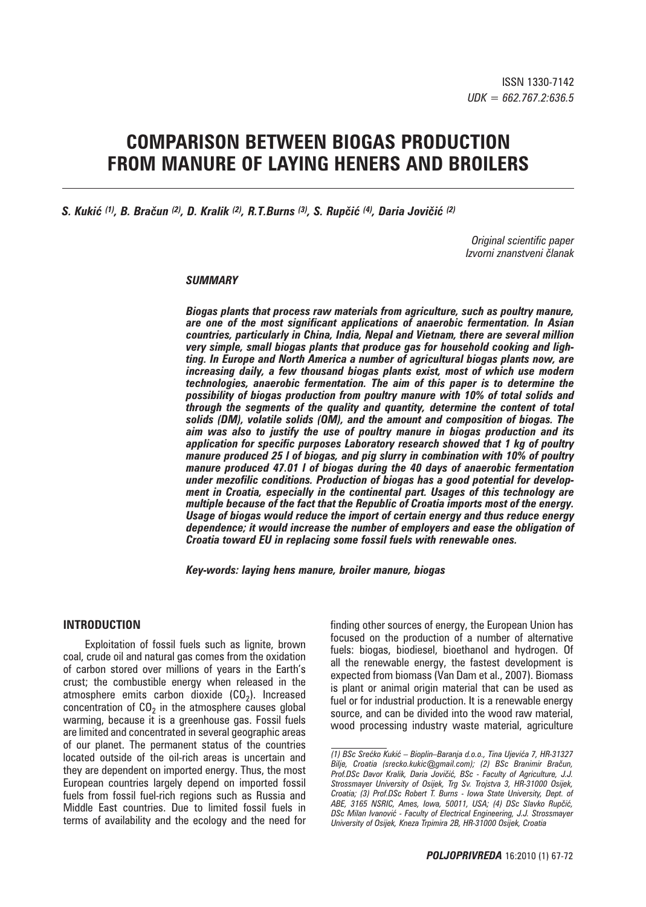# **COMPARISON BETWEEN BIOGAS PRODUCTION FROM MANURE OF LAYING HENERS AND BROILERS**

*S. Kukić (1), B. Bračun (2), D. Kralik (2), R.T.Burns (3), S. Rupčić (4), Daria Jovičić (2)*

*Original scientific paper Izvorni znanstveni ~lanak*

# *SUMMARY*

*Biogas plants that process raw materials from agriculture, such as poultry manure, are one of the most significant applications of anaerobic fermentation. In Asian countries, particularly in China, India, Nepal and Vietnam, there are several million very simple, small biogas plants that produce gas for household cooking and lighting. In Europe and North America a number of agricultural biogas plants now, are increasing daily, a few thousand biogas plants exist, most of which use modern technologies, anaerobic fermentation. The aim of this paper is to determine the possibility of biogas production from poultry manure with 10% of total solids and through the segments of the quality and quantity, determine the content of total solids (DM), volatile solids (OM), and the amount and composition of biogas. The aim was also to justify the use of poultry manure in biogas production and its application for specific purposes Laboratory research showed that 1 kg of poultry manure produced 25 l of biogas, and pig slurry in combination with 10% of poultry manure produced 47.01 l of biogas during the 40 days of anaerobic fermentation under mezofilic conditions. Production of biogas has a good potential for development in Croatia, especially in the continental part. Usages of this technology are multiple because of the fact that the Republic of Croatia imports most of the energy. Usage of biogas would reduce the import of certain energy and thus reduce energy dependence; it would increase the number of employers and ease the obligation of Croatia toward EU in replacing some fossil fuels with renewable ones.*

*Key-words: laying hens manure, broiler manure, biogas*

# **INTRODUCTION**

Exploitation of fossil fuels such as lignite, brown coal, crude oil and natural gas comes from the oxidation of carbon stored over millions of years in the Earth's crust; the combustible energy when released in the atmosphere emits carbon dioxide  $(CO<sub>2</sub>)$ . Increased concentration of  $CO<sub>2</sub>$  in the atmosphere causes global warming, because it is a greenhouse gas. Fossil fuels are limited and concentrated in several geographic areas of our planet. The permanent status of the countries located outside of the oil-rich areas is uncertain and they are dependent on imported energy. Thus, the most European countries largely depend on imported fossil fuels from fossil fuel-rich regions such as Russia and Middle East countries. Due to limited fossil fuels in terms of availability and the ecology and the need for

finding other sources of energy, the European Union has focused on the production of a number of alternative fuels: biogas, biodiesel, bioethanol and hydrogen. Of all the renewable energy, the fastest development is expected from biomass (Van Dam et al., 2007). Biomass is plant or animal origin material that can be used as fuel or for industrial production. It is a renewable energy source, and can be divided into the wood raw material, wood processing industry waste material, agriculture

*<sup>(1)</sup> BSc Sre}ko Kuki} – Bioplin–Baranja d.o.o., Tina Ujevi}a 7, HR-31327 Bilje, Croatia (srecko.kukic*#*gmail.com); (2) BSc Branimir Bra~un,*  Prof.DSc Davor Kralik, Daria Jovičić, BSc - Faculty of Agriculture, J.J. *Strossmayer University of Osijek, Trg Sv. Trojstva 3, HR-31000 Osijek, Croatia; (3) Prof.DSc Robert T. Burns - Iowa State University, Dept. of*  ABE, 3165 NSRIC, Ames, Iowa, 50011, USA; (4) DSc Slavko Rupčić, **DSc Milan Ivanović - Faculty of Electrical Engineering, J.J. Strossmayer** *University of Osijek, Kneza Trpimira 2B, HR-31000 Osijek, Croatia*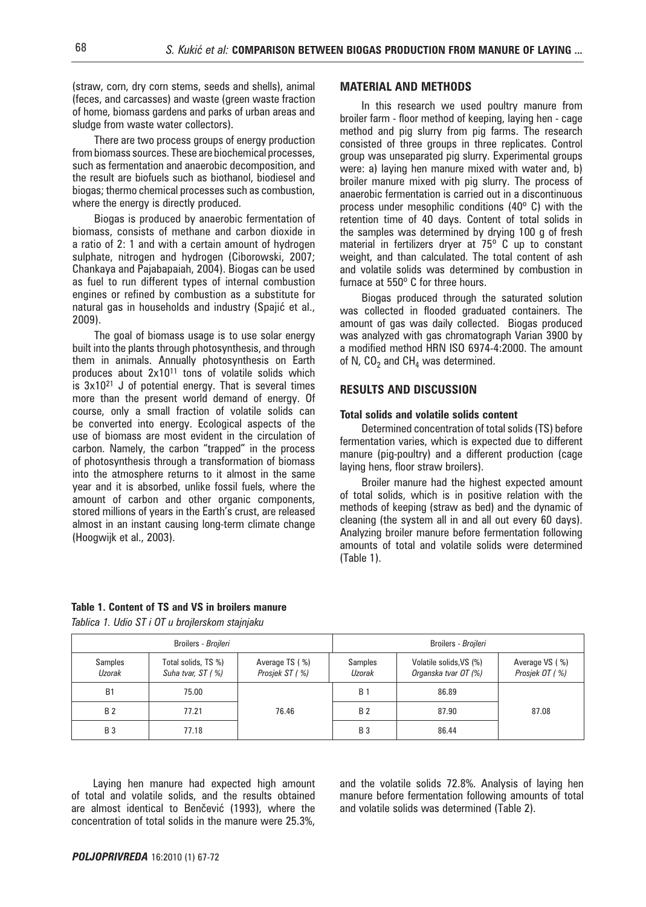(straw, corn, dry corn stems, seeds and shells), animal (feces, and carcasses) and waste (green waste fraction of home, biomass gardens and parks of urban areas and sludge from waste water collectors).

There are two process groups of energy production from biomass sources. These are biochemical processes, such as fermentation and anaerobic decomposition, and the result are biofuels such as biothanol, biodiesel and biogas; thermo chemical processes such as combustion, where the energy is directly produced.

Biogas is produced by anaerobic fermentation of biomass, consists of methane and carbon dioxide in a ratio of 2: 1 and with a certain amount of hydrogen sulphate, nitrogen and hydrogen (Ciborowski, 2007; Chankaya and Pajabapaiah, 2004). Biogas can be used as fuel to run different types of internal combustion engines or refined by combustion as a substitute for natural gas in households and industry (Spajić et al., 2009).

The goal of biomass usage is to use solar energy built into the plants through photosynthesis, and through them in animals. Annually photosynthesis on Earth produces about  $2x10^{11}$  tons of volatile solids which is  $3x10^{21}$  J of potential energy. That is several times more than the present world demand of energy. Of course, only a small fraction of volatile solids can be converted into energy. Ecological aspects of the use of biomass are most evident in the circulation of carbon. Namely, the carbon "trapped" in the process of photosynthesis through a transformation of biomass into the atmosphere returns to it almost in the same year and it is absorbed, unlike fossil fuels, where the amount of carbon and other organic components, stored millions of years in the Earth's crust, are released almost in an instant causing long-term climate change (Hoogwijk et al., 2003).

# **MATERIAL AND METHODS**

In this research we used poultry manure from broiler farm - floor method of keeping, laying hen - cage method and pig slurry from pig farms. The research consisted of three groups in three replicates. Control group was unseparated pig slurry. Experimental groups were: a) laying hen manure mixed with water and, b) broiler manure mixed with pig slurry. The process of anaerobic fermentation is carried out in a discontinuous process under mesophilic conditions (40º C) with the retention time of 40 days. Content of total solids in the samples was determined by drying 100 g of fresh material in fertilizers dryer at 75º C up to constant weight, and than calculated. The total content of ash and volatile solids was determined by combustion in furnace at 550º C for three hours.

Biogas produced through the saturated solution was collected in flooded graduated containers. The amount of gas was daily collected. Biogas produced was analyzed with gas chromatograph Varian 3900 by a modified method HRN ISO 6974-4:2000. The amount of N,  $CO<sub>2</sub>$  and CH<sub>4</sub> was determined.

# **RESULTS AND DISCUSSION**

# **Total solids and volatile solids content**

Determined concentration of total solids (TS) before fermentation varies, which is expected due to different manure (pig-poultry) and a different production (cage laying hens, floor straw broilers).

Broiler manure had the highest expected amount of total solids, which is in positive relation with the methods of keeping (straw as bed) and the dynamic of cleaning (the system all in and all out every 60 days). Analyzing broiler manure before fermentation following amounts of total and volatile solids were determined (Table 1).

# **Table 1. Content of TS and VS in broilers manure**

*Tablica 1. Udio ST i OT u brojlerskom stajnjaku*

|                          | Broilers - Broileri                                                          |       | Broilers - Broileri |                                                 |                                  |  |
|--------------------------|------------------------------------------------------------------------------|-------|---------------------|-------------------------------------------------|----------------------------------|--|
| <b>Samples</b><br>Uzorak | Total solids, TS %)<br>Average TS (%)<br>Prosiek ST (%)<br>Suha tvar, ST (%) |       | Samples<br>Uzorak   | Volatile solids, VS (%)<br>Organska tvar OT (%) | Average VS (%)<br>Prosjek OT (%) |  |
| B <sub>1</sub>           | 75.00                                                                        |       | <b>B</b> 1          | 86.89                                           |                                  |  |
| <b>B2</b>                | 77.21                                                                        | 76.46 | <b>B2</b>           | 87.90                                           | 87.08                            |  |
| <b>B3</b>                | 77.18                                                                        |       | <b>B</b> 3          | 86.44                                           |                                  |  |

Laying hen manure had expected high amount of total and volatile solids, and the results obtained are almost identical to Benčević (1993), where the concentration of total solids in the manure were 25.3%,

and the volatile solids 72.8%. Analysis of laying hen manure before fermentation following amounts of total and volatile solids was determined (Table 2).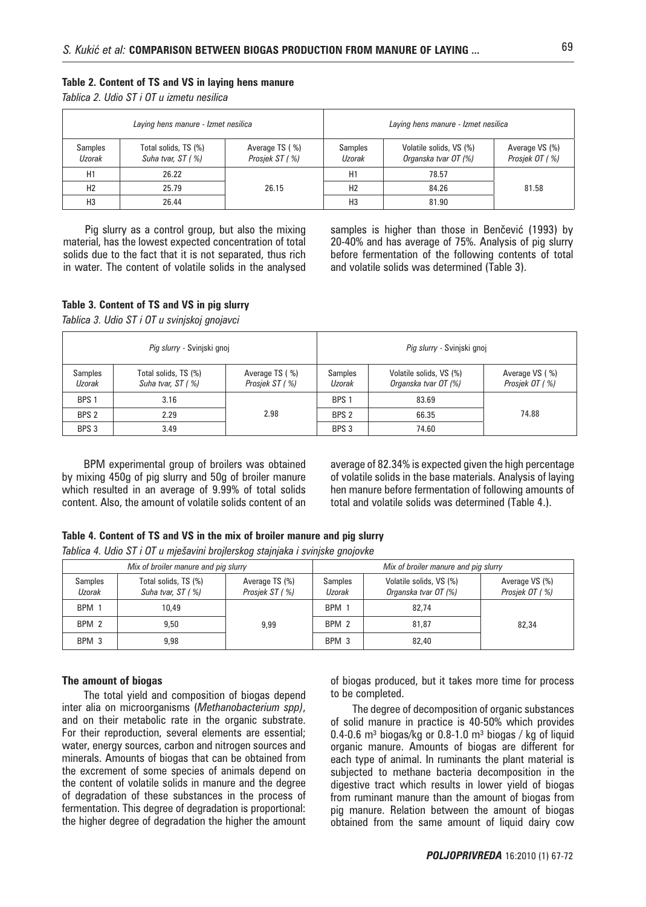# **Table 2. Content of TS and VS in laying hens manure**

*Tablica 2. Udio ST i OT u izmetu nesilica*

| Laying hens manure - Izmet nesilica |                                           |                                                              | Laying hens manure - Izmet nesilica |                                                 |                                  |  |
|-------------------------------------|-------------------------------------------|--------------------------------------------------------------|-------------------------------------|-------------------------------------------------|----------------------------------|--|
| Samples<br>Uzorak                   | Total solids, TS (%)<br>Suha tvar, ST (%) | Average TS (%)<br><b>Samples</b><br>Prosiek ST (%)<br>Uzorak |                                     | Volatile solids, VS (%)<br>Organska tvar OT (%) | Average VS (%)<br>Prosiek OT (%) |  |
| H1                                  | 26.22                                     |                                                              | H1                                  | 78.57                                           |                                  |  |
| H <sub>2</sub>                      | 25.79                                     | 26.15                                                        | H <sub>2</sub>                      | 84.26                                           | 81.58                            |  |
| H <sub>3</sub>                      | 26.44                                     |                                                              | H <sub>3</sub>                      | 81.90                                           |                                  |  |

Pig slurry as a control group, but also the mixing material, has the lowest expected concentration of total solids due to the fact that it is not separated, thus rich in water. The content of volatile solids in the analysed samples is higher than those in Benčević (1993) by 20-40% and has average of 75%. Analysis of pig slurry before fermentation of the following contents of total and volatile solids was determined (Table 3).

## **Table 3. Content of TS and VS in pig slurry**

*Tablica 3. Udio ST i OT u svinjskoj gnojavci*

| Pig slurry - Svinjski gnoj |                                                                               |      | Pig slurry - Svinjski gnoj |                                                 |                                  |  |
|----------------------------|-------------------------------------------------------------------------------|------|----------------------------|-------------------------------------------------|----------------------------------|--|
| <b>Samples</b><br>Uzorak   | Total solids, TS (%)<br>Average TS (%)<br>Suha tvar, ST (%)<br>Prosiek ST (%) |      | Samples<br>Uzorak          | Volatile solids, VS (%)<br>Organska tvar OT (%) | Average VS (%)<br>Prosjek OT (%) |  |
| BPS <sub>1</sub>           | 3.16                                                                          |      | BPS <sub>1</sub>           | 83.69                                           |                                  |  |
| BPS <sub>2</sub>           | 2.29                                                                          | 2.98 | BPS <sub>2</sub>           | 66.35                                           | 74.88                            |  |
| BPS 3                      | 3.49                                                                          |      | BPS <sub>3</sub>           | 74.60                                           |                                  |  |

BPM experimental group of broilers was obtained by mixing 450g of pig slurry and 50g of broiler manure which resulted in an average of 9.99% of total solids content. Also, the amount of volatile solids content of an

average of 82.34% is expected given the high percentage of volatile solids in the base materials. Analysis of laying hen manure before fermentation of following amounts of total and volatile solids was determined (Table 4.).

## **Table 4. Content of TS and VS in the mix of broiler manure and pig slurry**

*Tablica 4. Udio ST i OT u mje{avini brojlerskog stajnjaka i svinjske gnojovke*

| Mix of broiler manure and pig slurry |                                           |                                  | Mix of broiler manure and pig slurry |                                                 |                                  |  |
|--------------------------------------|-------------------------------------------|----------------------------------|--------------------------------------|-------------------------------------------------|----------------------------------|--|
| Samples<br>Uzorak                    | Total solids, TS (%)<br>Suha tvar, ST (%) | Average TS (%)<br>Prosiek ST (%) | <b>Samples</b><br>Uzorak             | Volatile solids, VS (%)<br>Organska tvar OT (%) | Average VS (%)<br>Prosiek OT (%) |  |
| BPM 1                                | 10.49                                     |                                  | BPM <sub>1</sub>                     | 82.74                                           |                                  |  |
| BPM 2                                | 9.50                                      | 9.99                             | BPM <sub>2</sub>                     | 81.87                                           | 82,34                            |  |
| BPM <sub>3</sub>                     | 9.98                                      |                                  | BPM <sub>3</sub>                     | 82,40                                           |                                  |  |

#### **The amount of biogas**

The total yield and composition of biogas depend inter alia on microorganisms (*Methanobacterium spp)*, and on their metabolic rate in the organic substrate. For their reproduction, several elements are essential; water, energy sources, carbon and nitrogen sources and minerals. Amounts of biogas that can be obtained from the excrement of some species of animals depend on the content of volatile solids in manure and the degree of degradation of these substances in the process of fermentation. This degree of degradation is proportional: the higher degree of degradation the higher the amount of biogas produced, but it takes more time for process to be completed.

The degree of decomposition of organic substances of solid manure in practice is 40-50% which provides 0.4-0.6 m<sup>3</sup> biogas/kg or 0.8-1.0 m<sup>3</sup> biogas / kg of liquid organic manure. Amounts of biogas are different for each type of animal. In ruminants the plant material is subjected to methane bacteria decomposition in the digestive tract which results in lower yield of biogas from ruminant manure than the amount of biogas from pig manure. Relation between the amount of biogas obtained from the same amount of liquid dairy cow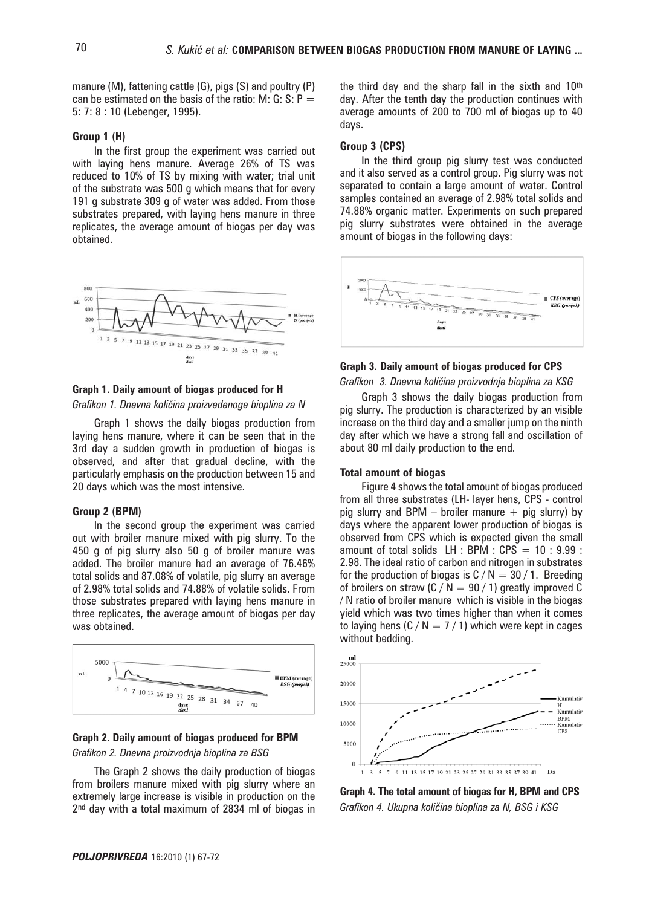manure (M), fattening cattle (G), pigs (S) and poultry (P) can be estimated on the basis of the ratio: M: G: S:  $P =$ 5: 7: 8 : 10 (Lebenger, 1995).

#### **Group 1 (H)**

In the first group the experiment was carried out with laying hens manure. Average 26% of TS was reduced to 10% of TS by mixing with water; trial unit of the substrate was 500 g which means that for every 191 g substrate 309 g of water was added. From those substrates prepared, with laying hens manure in three replicates, the average amount of biogas per day was obtained.



#### **Graph 1. Daily amount of biogas produced for H**

Grafikon 1. Dnevna količina proizvedenoge bioplina za N

Graph 1 shows the daily biogas production from laying hens manure, where it can be seen that in the 3rd day a sudden growth in production of biogas is observed, and after that gradual decline, with the particularly emphasis on the production between 15 and 20 days which was the most intensive.

# **Group 2 (BPM)**

In the second group the experiment was carried out with broiler manure mixed with pig slurry. To the 450 g of pig slurry also 50 g of broiler manure was added. The broiler manure had an average of 76.46% total solids and 87.08% of volatile, pig slurry an average of 2.98% total solids and 74.88% of volatile solids. From those substrates prepared with laying hens manure in three replicates, the average amount of biogas per day was obtained.



# **Graph 2. Daily amount of biogas produced for BPM**

*Grafikon 2. Dnevna proizvodnja bioplina za BSG*

The Graph 2 shows the daily production of biogas from broilers manure mixed with pig slurry where an extremely large increase is visible in production on the 2<sup>nd</sup> day with a total maximum of 2834 ml of biogas in the third day and the sharp fall in the sixth and 10th day. After the tenth day the production continues with average amounts of 200 to 700 ml of biogas up to 40 days.

# **Group 3 (CPS)**

In the third group pig slurry test was conducted and it also served as a control group. Pig slurry was not separated to contain a large amount of water. Control samples contained an average of 2.98% total solids and 74.88% organic matter. Experiments on such prepared pig slurry substrates were obtained in the average amount of biogas in the following days:



#### **Graph 3. Daily amount of biogas produced for CPS**

Grafikon 3. Dnevna količina proizvodnje bioplina za KSG

Graph 3 shows the daily biogas production from pig slurry. The production is characterized by an visible increase on the third day and a smaller jump on the ninth day after which we have a strong fall and oscillation of about 80 ml daily production to the end.

#### **Total amount of biogas**

Figure 4 shows the total amount of biogas produced from all three substrates (LH- layer hens, CPS - control pig slurry and BPM – broiler manure  $+$  pig slurry) by days where the apparent lower production of biogas is observed from CPS which is expected given the small amount of total solids LH : BPM :  $CPS = 10 : 9.99$  : 2.98. The ideal ratio of carbon and nitrogen in substrates for the production of biogas is  $C/N = 30 / 1$ . Breeding of broilers on straw (C / N = 90 / 1) greatly improved C / N ratio of broiler manure which is visible in the biogas yield which was two times higher than when it comes to laying hens  $(C / N = 7 / 1)$  which were kept in cages without bedding.



**Graph 4. The total amount of biogas for H, BPM and CPS** Grafikon 4. Ukupna količina bioplina za N, BSG i KSG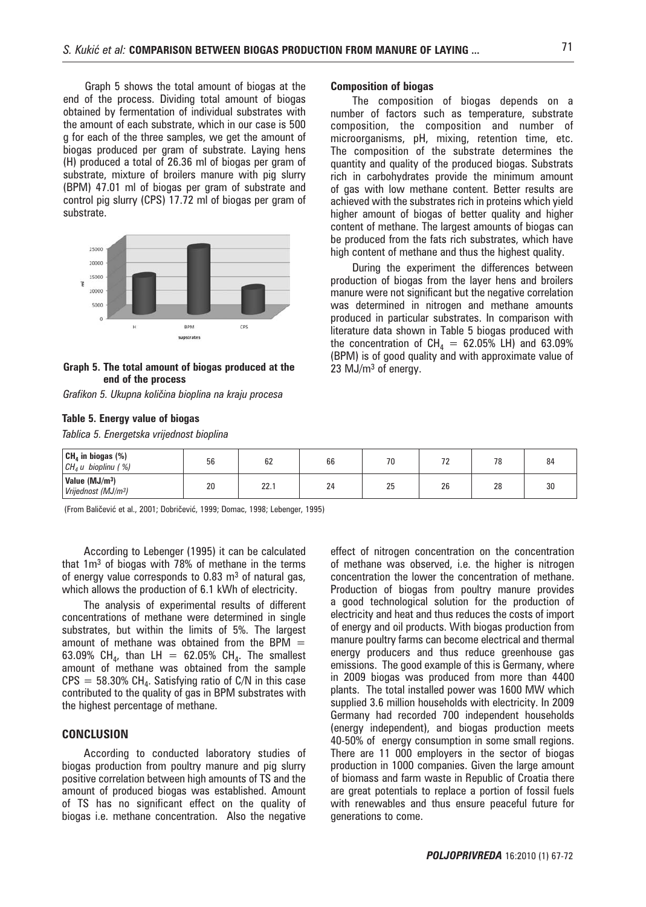Graph 5 shows the total amount of biogas at the end of the process. Dividing total amount of biogas obtained by fermentation of individual substrates with the amount of each substrate, which in our case is 500 g for each of the three samples, we get the amount of biogas produced per gram of substrate. Laying hens (H) produced a total of 26.36 ml of biogas per gram of substrate, mixture of broilers manure with pig slurry (BPM) 47.01 ml of biogas per gram of substrate and control pig slurry (CPS) 17.72 ml of biogas per gram of substrate.



**Graph 5. The total amount of biogas produced at the end of the process**

| Grafikon 5. Ukupna količina bioplina na kraju procesa |  |  |  |  |
|-------------------------------------------------------|--|--|--|--|
|                                                       |  |  |  |  |

# **Table 5. Energy value of biogas**

*Tablica 5. Energetska vrijednost bioplina*

# **Composition of biogas**

The composition of biogas depends on a number of factors such as temperature, substrate composition, the composition and number of microorganisms, pH, mixing, retention time, etc. The composition of the substrate determines the quantity and quality of the produced biogas. Substrats rich in carbohydrates provide the minimum amount of gas with low methane content. Better results are achieved with the substrates rich in proteins which yield higher amount of biogas of better quality and higher content of methane. The largest amounts of biogas can be produced from the fats rich substrates, which have high content of methane and thus the highest quality.

During the experiment the differences between production of biogas from the layer hens and broilers manure were not significant but the negative correlation was determined in nitrogen and methane amounts produced in particular substrates. In comparison with literature data shown in Table 5 biogas produced with the concentration of  $CH_4 = 62.05\%$  LH) and 63.09% (BPM) is of good quality and with approximate value of 23 MJ/m3 of energy.

| $CHa$ in biogas $(\%)$<br>$CH4$ u bioplinu (%)                | 56 | $\sim$<br>bΖ | 66 | / U | , L | 70 |    |
|---------------------------------------------------------------|----|--------------|----|-----|-----|----|----|
| Value (MJ/m <sup>3</sup> )<br>Vrijednost (MJ/m <sup>3</sup> ) | 20 | 22.1         | 24 | 25  | 26  | 28 | 30 |

(From Baličević et al., 2001; Dobričević, 1999; Domac, 1998; Lebenger, 1995)

According to Lebenger (1995) it can be calculated that 1m3 of biogas with 78% of methane in the terms of energy value corresponds to  $0.83 \text{ m}^3$  of natural gas, which allows the production of 6.1 kWh of electricity.

The analysis of experimental results of different concentrations of methane were determined in single substrates, but within the limits of 5%. The largest amount of methane was obtained from the BPM  $=$ 63.09% CH<sub>4</sub>, than LH = 62.05% CH<sub>4</sub>. The smallest amount of methane was obtained from the sample  $CPS = 58.30\% \text{ CH}_{4}$ . Satisfying ratio of C/N in this case contributed to the quality of gas in BPM substrates with the highest percentage of methane.

# **CONCLUSION**

According to conducted laboratory studies of biogas production from poultry manure and pig slurry positive correlation between high amounts of TS and the amount of produced biogas was established. Amount of TS has no significant effect on the quality of biogas i.e. methane concentration. Also the negative effect of nitrogen concentration on the concentration of methane was observed, i.e. the higher is nitrogen concentration the lower the concentration of methane. Production of biogas from poultry manure provides a good technological solution for the production of electricity and heat and thus reduces the costs of import of energy and oil products. With biogas production from manure poultry farms can become electrical and thermal energy producers and thus reduce greenhouse gas emissions. The good example of this is Germany, where in 2009 biogas was produced from more than 4400 plants. The total installed power was 1600 MW which supplied 3.6 million households with electricity. In 2009 Germany had recorded 700 independent households (energy independent), and biogas production meets 40-50% of energy consumption in some small regions. There are 11 000 employers in the sector of biogas production in 1000 companies. Given the large amount of biomass and farm waste in Republic of Croatia there are great potentials to replace a portion of fossil fuels with renewables and thus ensure peaceful future for generations to come.